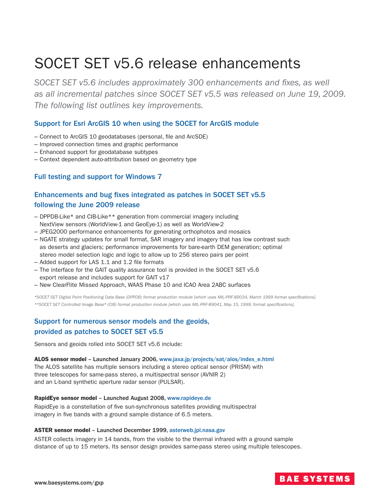# SOCET SET v5.6 release enhancements

*SOCET SET v5.6 includes approximately 300 enhancements and fixes, as well as all incremental patches since SOCET SET v5.5 was released on June 19, 2009. The following list outlines key improvements.*

## Support for Esri ArcGIS 10 when using the SOCET for ArcGIS module

- Connect to ArcGIS 10 geodatabases (personal, file and ArcSDE)
- Improved connection times and graphic performance
- Enhanced support for geodatabase subtypes
- Context dependent auto-attribution based on geometry type

### Full testing and support for Windows 7

# Enhancements and bug fixes integrated as patches in SOCET SET v5.5 following the June 2009 release

- DPPDB-Like\* and CIB-Like\*\* generation from commercial imagery including NextView sensors (WorldView-1 and GeoEye-1) as well as WorldView-2
- JPEG2000 performance enhancements for generating orthophotos and mosaics
- NGATE strategy updates for small format, SAR imagery and imagery that has low contrast such as deserts and glaciers; performance improvements for bare-earth DEM generation; optimal stereo model selection logic and logic to allow up to 256 stereo pairs per point
- Added support for LAS 1.1 and 1.2 file formats
- The interface for the GAIT quality assurance tool is provided in the SOCET SET v5.6 export release and includes support for GAIT v17
- New ClearFlite Missed Approach, WAAS Phase 10 and ICAO Area 2ABC surfaces

*\*SOCET SET Digital Point Positioning Data Base (DPPDB) format production module [which uses MIL-PRF-89034, March 1999 format specifications]. \*\*SOCET SET Controlled Image Base® (CIB) format production module [which uses MIL-PRF-89041, May 15, 1999, format specifications].*

## Support for numerous sensor models and the geoids, provided as patches to SOCET SET v5.5

Sensors and geoids rolled into SOCET SET v5.6 include:

ALOS sensor model – Launched January 2006, [www.jaxa.jp/projects/sat/alos/index\\_e.html](http://www.jaxa.jp/projects/sat/alos/index_e.html) The ALOS satellite has multiple sensors including a stereo optical sensor (PRISM) with three telescopes for same-pass stereo, a multispectral sensor (AVNIR 2) and an L-band synthetic aperture radar sensor (PULSAR).

#### RapidEye sensor model – Launched August 2008, [www.rapideye.de](http://www.rapideye.de)

RapidEye is a constellation of five sun-synchronous satellites providing multispectral imagery in five bands with a ground sample distance of 6.5 meters.

#### ASTER sensor model – Launched December 1999, [asterweb.jpl.nasa.gov](http://asterweb.jpl.nasa.gov)

ASTER collects imagery in 14 bands, from the visible to the thermal infrared with a ground sample distance of up to 15 meters. Its sensor design provides same-pass stereo using multiple telescopes.